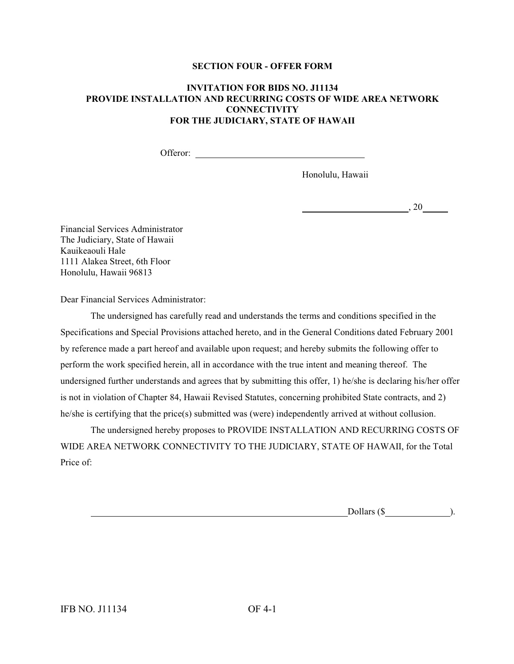#### **SECTION FOUR - OFFER FORM**

### **INVITATION FOR BIDS NO. J11134 PROVIDE INSTALLATION AND RECURRING COSTS OF WIDE AREA NETWORK CONNECTIVITY FOR THE JUDICIARY, STATE OF HAWAII**

Offeror:  $\blacksquare$ 

Honolulu, Hawaii

 $, 20$ 

Financial Services Administrator The Judiciary, State of Hawaii Kauikeaouli Hale 1111 Alakea Street, 6th Floor Honolulu, Hawaii 96813

Dear Financial Services Administrator:

The undersigned has carefully read and understands the terms and conditions specified in the Specifications and Special Provisions attached hereto, and in the General Conditions dated February 2001 by reference made a part hereof and available upon request; and hereby submits the following offer to perform the work specified herein, all in accordance with the true intent and meaning thereof. The undersigned further understands and agrees that by submitting this offer, 1) he/she is declaring his/her offer is not in violation of Chapter 84, Hawaii Revised Statutes, concerning prohibited State contracts, and 2) he/she is certifying that the price(s) submitted was (were) independently arrived at without collusion.

The undersigned hereby proposes to PROVIDE INSTALLATION AND RECURRING COSTS OF WIDE AREA NETWORK CONNECTIVITY TO THE JUDICIARY, STATE OF HAWAII, for the Total Price of:

Dollars  $(\$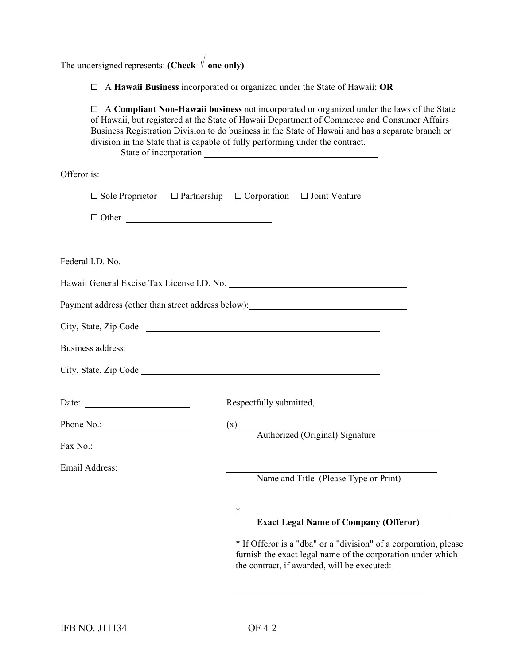The undersigned represents: **(Check**  $\sqrt{\ }$ **one only)** 

G A **Hawaii Business** incorporated or organized under the State of Hawaii; **OR**

G A **Compliant Non-Hawaii business** not incorporated or organized under the laws of the State of Hawaii, but registered at the State of Hawaii Department of Commerce and Consumer Affairs Business Registration Division to do business in the State of Hawaii and has a separate branch or division in the State that is capable of fully performing under the contract. State of incorporation

Offeror is:

|                                                          | $\Box$ Sole Proprietor $\Box$ Partnership $\Box$ Corporation $\Box$ Joint Venture                                                                                                                                              |
|----------------------------------------------------------|--------------------------------------------------------------------------------------------------------------------------------------------------------------------------------------------------------------------------------|
| $\Box$ Other                                             |                                                                                                                                                                                                                                |
|                                                          |                                                                                                                                                                                                                                |
|                                                          | Federal I.D. No.                                                                                                                                                                                                               |
|                                                          |                                                                                                                                                                                                                                |
|                                                          | Payment address (other than street address below): ______________________________                                                                                                                                              |
|                                                          | City, State, Zip Code                                                                                                                                                                                                          |
|                                                          | Business address: 1. The contract of the contract of the contract of the contract of the contract of the contract of the contract of the contract of the contract of the contract of the contract of the contract of the contr |
|                                                          |                                                                                                                                                                                                                                |
| Date: $\frac{1}{\sqrt{1-\frac{1}{2}} \cdot \frac{1}{2}}$ | Respectfully submitted,                                                                                                                                                                                                        |
| Phone No.: $\qquad \qquad$                               | (x)<br>Authorized (Original) Signature                                                                                                                                                                                         |
| Fax No.: $\qquad \qquad$                                 |                                                                                                                                                                                                                                |
| <b>Email Address:</b>                                    | Name and Title (Please Type or Print)                                                                                                                                                                                          |
|                                                          |                                                                                                                                                                                                                                |
|                                                          | $\ast$                                                                                                                                                                                                                         |
|                                                          | <b>Exact Legal Name of Company (Offeror)</b>                                                                                                                                                                                   |
|                                                          | * If Offeror is a "dba" or a "division" of a corporation, please<br>furnish the exact legal name of the corporation under which<br>the contract, if awarded, will be executed:                                                 |

 $\overline{a}$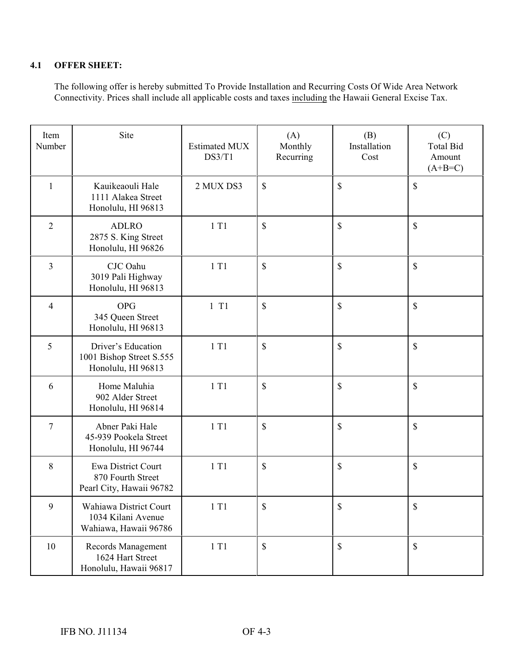## **4.1 OFFER SHEET:**

The following offer is hereby submitted To Provide Installation and Recurring Costs Of Wide Area Network Connectivity. Prices shall include all applicable costs and taxes including the Hawaii General Excise Tax.

| Item<br>Number | Site                                                                       | <b>Estimated MUX</b><br>DS3/T1 | (A)<br>Monthly<br>Recurring | (B)<br>Installation<br>Cost | (C)<br><b>Total Bid</b><br>Amount<br>$(A+B=C)$ |
|----------------|----------------------------------------------------------------------------|--------------------------------|-----------------------------|-----------------------------|------------------------------------------------|
| 1              | Kauikeaouli Hale<br>1111 Alakea Street<br>Honolulu, HI 96813               | 2 MUX DS3                      | $\mathbb{S}$                | \$                          | \$                                             |
| $\overline{2}$ | <b>ADLRO</b><br>2875 S. King Street<br>Honolulu, HI 96826                  | 1 T1                           | $\mathbb{S}$                | $\mathbb{S}$                | \$                                             |
| $\overline{3}$ | CJC Oahu<br>3019 Pali Highway<br>Honolulu, HI 96813                        | 1 T1                           | $\mathbb{S}$                | $\mathbb{S}$                | $\mathbb{S}$                                   |
| $\overline{4}$ | <b>OPG</b><br>345 Queen Street<br>Honolulu, HI 96813                       | $1$ T1                         | \$                          | \$                          | \$                                             |
| 5              | Driver's Education<br>1001 Bishop Street S.555<br>Honolulu, HI 96813       | 1T1                            | \$                          | $\mathbb{S}$                | $\mathbb{S}$                                   |
| 6              | Home Maluhia<br>902 Alder Street<br>Honolulu, HI 96814                     | 1 T1                           | $\mathbb{S}$                | $\mathbb{S}$                | $\mathbb{S}$                                   |
| $\tau$         | Abner Paki Hale<br>45-939 Pookela Street<br>Honolulu, HI 96744             | 1T1                            | \$                          | $\mathbb{S}$                | $\mathbb{S}$                                   |
| 8              | <b>Ewa District Court</b><br>870 Fourth Street<br>Pearl City, Hawaii 96782 | 1 T1                           | \$                          | $\mathbb{S}$                | $\mathbb{S}$                                   |
| 9              | Wahiawa District Court<br>1034 Kilani Avenue<br>Wahiawa, Hawaii 96786      | 1T1                            | \$                          | \$                          | \$                                             |
| 10             | Records Management<br>1624 Hart Street<br>Honolulu, Hawaii 96817           | 1 T1                           | $\mathbb{S}$                | $\mathbb{S}$                | $\mathbb{S}$                                   |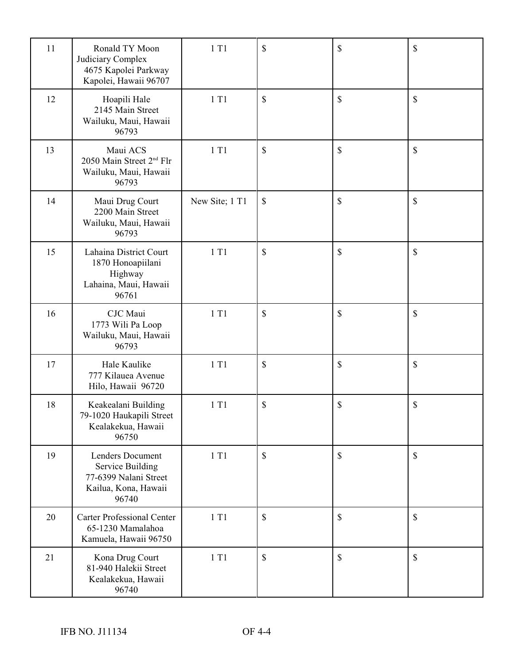| 11 | Ronald TY Moon<br>Judiciary Complex<br>4675 Kapolei Parkway<br>Kapolei, Hawaii 96707                         | 1 T1           | \$            | \$   | \$ |
|----|--------------------------------------------------------------------------------------------------------------|----------------|---------------|------|----|
| 12 | Hoapili Hale<br>2145 Main Street<br>Wailuku, Maui, Hawaii<br>96793                                           | 1T1            | $\mathcal{S}$ | \$   | \$ |
| 13 | Maui ACS<br>2050 Main Street 2 <sup>nd</sup> Flr<br>Wailuku, Maui, Hawaii<br>96793                           | 1 T1           | $\mathcal{S}$ | \$   | \$ |
| 14 | Maui Drug Court<br>2200 Main Street<br>Wailuku, Maui, Hawaii<br>96793                                        | New Site; 1 T1 | \$            | \$   | \$ |
| 15 | Lahaina District Court<br>1870 Honoapiilani<br>Highway<br>Lahaina, Maui, Hawaii<br>96761                     | 1T1            | \$            | \$   | \$ |
| 16 | CJC Maui<br>1773 Wili Pa Loop<br>Wailuku, Maui, Hawaii<br>96793                                              | 1 T1           | \$            | \$   | \$ |
| 17 | Hale Kaulike<br>777 Kilauea Avenue<br>Hilo, Hawaii 96720                                                     | 1 T1           | \$            | \$   | \$ |
| 18 | Keakealani Building<br>79-1020 Haukapili Street<br>Kealakekua, Hawaii<br>96750                               | 1 T1           | \$            | $\$$ | \$ |
| 19 | <b>Lenders Document</b><br><b>Service Building</b><br>77-6399 Nalani Street<br>Kailua, Kona, Hawaii<br>96740 | 1T1            | $\mathcal{S}$ | \$   | \$ |
| 20 | <b>Carter Professional Center</b><br>65-1230 Mamalahoa<br>Kamuela, Hawaii 96750                              | 1 T1           | $\mathcal{S}$ | \$   | \$ |
| 21 | Kona Drug Court<br>81-940 Halekii Street<br>Kealakekua, Hawaii<br>96740                                      | 1T1            | $\mathcal{S}$ | \$   | \$ |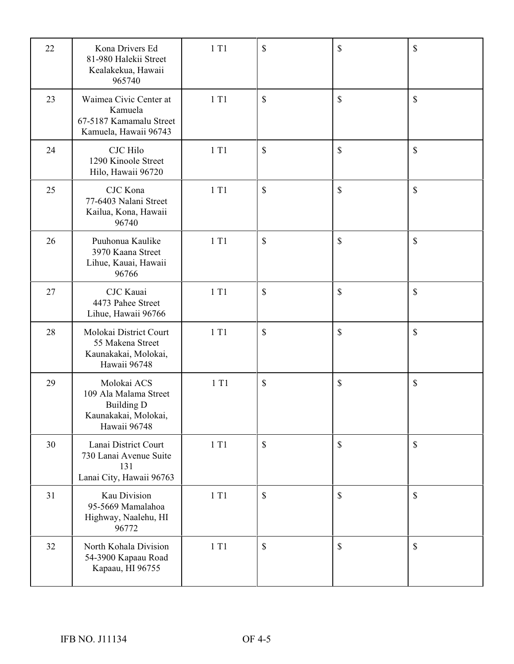| 22 | Kona Drivers Ed<br>81-980 Halekii Street<br>Kealakekua, Hawaii<br>965740                          | 1 T1 | \$            | \$           | \$            |
|----|---------------------------------------------------------------------------------------------------|------|---------------|--------------|---------------|
| 23 | Waimea Civic Center at<br>Kamuela<br>67-5187 Kamamalu Street<br>Kamuela, Hawaii 96743             | 1T1  | $\mathcal{S}$ | \$           | \$            |
| 24 | <b>CJC</b> Hilo<br>1290 Kinoole Street<br>Hilo, Hawaii 96720                                      | 1T1  | \$            | \$           | \$            |
| 25 | CJC Kona<br>77-6403 Nalani Street<br>Kailua, Kona, Hawaii<br>96740                                | 1T1  | \$            | \$           | \$            |
| 26 | Puuhonua Kaulike<br>3970 Kaana Street<br>Lihue, Kauai, Hawaii<br>96766                            | 1T1  | \$            | \$           | \$            |
| 27 | CJC Kauai<br>4473 Pahee Street<br>Lihue, Hawaii 96766                                             | 1 T1 | \$            | \$           | \$            |
| 28 | Molokai District Court<br>55 Makena Street<br>Kaunakakai, Molokai,<br>Hawaii 96748                | 1T1  | \$            | \$           | \$            |
| 29 | Molokai ACS<br>109 Ala Malama Street<br><b>Building D</b><br>Kaunakakai, Molokai,<br>Hawaii 96748 | 1 T1 | \$            | \$           | \$            |
| 30 | Lanai District Court<br>730 Lanai Avenue Suite<br>131<br>Lanai City, Hawaii 96763                 | 1T1  | $\mathbb{S}$  | $\mathbb{S}$ | \$            |
| 31 | Kau Division<br>95-5669 Mamalahoa<br>Highway, Naalehu, HI<br>96772                                | 1 T1 | $\mathbb{S}$  | $\mathbb{S}$ | \$            |
| 32 | North Kohala Division<br>54-3900 Kapaau Road<br>Kapaau, HI 96755                                  | 1T1  | $\mathcal{S}$ | $\mathbb{S}$ | $\mathcal{S}$ |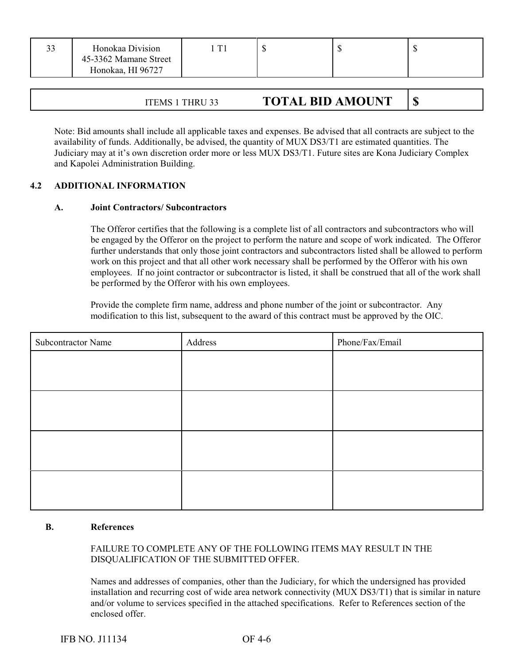| 33 | Honokaa Division<br>45-3362 Mamane Street<br>Honokaa, HI 96727 |  |  |
|----|----------------------------------------------------------------|--|--|
|    |                                                                |  |  |

| ITEMS 1 THRU 33 | <b>TOTAL BID AMOUNT</b> |  |
|-----------------|-------------------------|--|
|-----------------|-------------------------|--|

Note: Bid amounts shall include all applicable taxes and expenses. Be advised that all contracts are subject to the availability of funds. Additionally, be advised, the quantity of MUX DS3/T1 are estimated quantities. The Judiciary may at it's own discretion order more or less MUX DS3/T1. Future sites are Kona Judiciary Complex and Kapolei Administration Building.

#### **4.2 ADDITIONAL INFORMATION**

#### **A. Joint Contractors/ Subcontractors**

The Offeror certifies that the following is a complete list of all contractors and subcontractors who will be engaged by the Offeror on the project to perform the nature and scope of work indicated. The Offeror further understands that only those joint contractors and subcontractors listed shall be allowed to perform work on this project and that all other work necessary shall be performed by the Offeror with his own employees. If no joint contractor or subcontractor is listed, it shall be construed that all of the work shall be performed by the Offeror with his own employees.

Provide the complete firm name, address and phone number of the joint or subcontractor. Any modification to this list, subsequent to the award of this contract must be approved by the OIC.

| <b>Subcontractor Name</b> | Address | Phone/Fax/Email |
|---------------------------|---------|-----------------|
|                           |         |                 |
|                           |         |                 |
|                           |         |                 |
|                           |         |                 |
|                           |         |                 |
|                           |         |                 |
|                           |         |                 |
|                           |         |                 |

#### **B. References**

### FAILURE TO COMPLETE ANY OF THE FOLLOWING ITEMS MAY RESULT IN THE DISQUALIFICATION OF THE SUBMITTED OFFER.

Names and addresses of companies, other than the Judiciary, for which the undersigned has provided installation and recurring cost of wide area network connectivity (MUX DS3/T1) that is similar in nature and/or volume to services specified in the attached specifications. Refer to References section of the enclosed offer.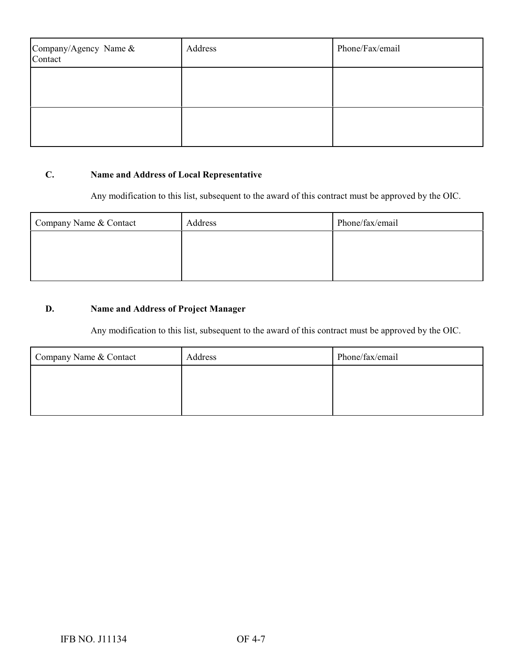| Company/Agency Name &<br>Contact | Address | Phone/Fax/email |
|----------------------------------|---------|-----------------|
|                                  |         |                 |
|                                  |         |                 |

# **C. Name and Address of Local Representative**

Any modification to this list, subsequent to the award of this contract must be approved by the OIC.

| Company Name & Contact | Address | Phone/fax/email |
|------------------------|---------|-----------------|
|                        |         |                 |
|                        |         |                 |
|                        |         |                 |

# **D. Name and Address of Project Manager**

Any modification to this list, subsequent to the award of this contract must be approved by the OIC.

| Company Name & Contact | Address | Phone/fax/email |
|------------------------|---------|-----------------|
|                        |         |                 |
|                        |         |                 |
|                        |         |                 |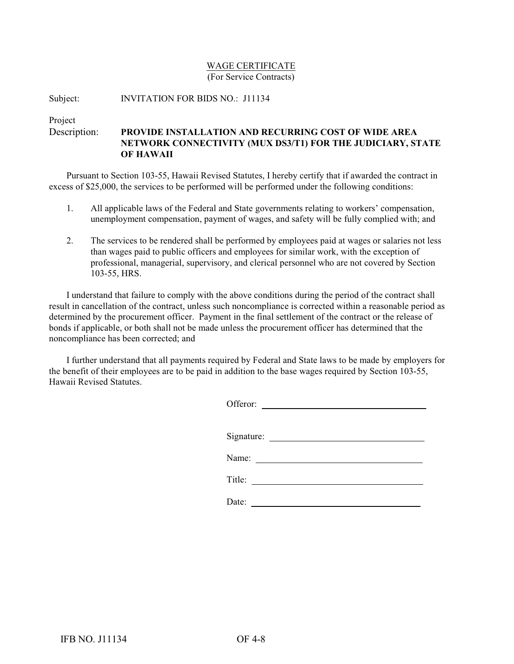#### WAGE CERTIFICATE (For Service Contracts)

Subject: INVITATION FOR BIDS NO.: J11134

Project

Description: **PROVIDE INSTALLATION AND RECURRING COST OF WIDE AREA NETWORK CONNECTIVITY (MUX DS3/T1) FOR THE JUDICIARY, STATE OF HAWAII**

Pursuant to Section 103-55, Hawaii Revised Statutes, I hereby certify that if awarded the contract in excess of \$25,000, the services to be performed will be performed under the following conditions:

- 1. All applicable laws of the Federal and State governments relating to workers' compensation, unemployment compensation, payment of wages, and safety will be fully complied with; and
- 2. The services to be rendered shall be performed by employees paid at wages or salaries not less than wages paid to public officers and employees for similar work, with the exception of professional, managerial, supervisory, and clerical personnel who are not covered by Section 103-55, HRS.

I understand that failure to comply with the above conditions during the period of the contract shall result in cancellation of the contract, unless such noncompliance is corrected within a reasonable period as determined by the procurement officer. Payment in the final settlement of the contract or the release of bonds if applicable, or both shall not be made unless the procurement officer has determined that the noncompliance has been corrected; and

I further understand that all payments required by Federal and State laws to be made by employers for the benefit of their employees are to be paid in addition to the base wages required by Section 103-55, Hawaii Revised Statutes.

| Offeror:                                                   |
|------------------------------------------------------------|
|                                                            |
|                                                            |
| Name:<br><u> 1989 - Andrea State Barbara, amerikan per</u> |
| Title:                                                     |
| Date:                                                      |